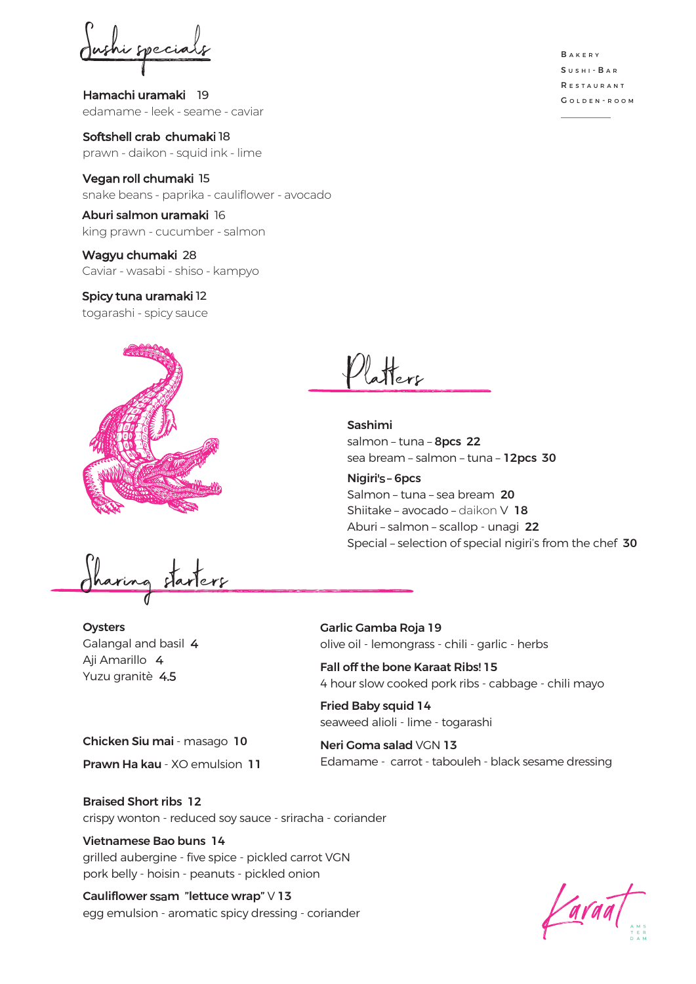this special

Hamachi uramaki 19 edamame - leek - seame - caviar

Softshell crab chumaki 18 prawn - daikon - squid ink - lime

Vegan roll chumaki 15 snake beans - paprika - cauliflower - avocado

Aburi salmon uramaki 16 king prawn - cucumber - salmon

Wagyu chumaki 28 Caviar - wasabi - shiso - kampyo

Spicy tuna uramaki 12 togarashi - spicy sauce



Sharing starters

**Oysters** Galangal and basil 4 Aji Amarillo 4 Yuzu granitè 4.5

Garlic Gamba Roja 19 olive oil - lemongrass - chili - garlic - herbs

Fall off the bone Karaat Ribs! 15 4 hour slow cooked pork ribs - cabbage - chili mayo

Fried Baby squid 14 seaweed alioli - lime - togarashi

Neri Goma salad VGN 13 Edamame - carrot - tabouleh - black sesame dressing

Chicken Siu mai - masago 10 Prawn Ha kau - XO emulsion 11

Braised Short ribs 12

crispy wonton - reduced soy sauce - sriracha - coriander

## Vietnamese Bao buns 14

grilled aubergine - five spice - pickled carrot VGN pork belly - hoisin - peanuts - pickled onion

Cauliflower ssam "lettuce wrap" V 13 egg emulsion - aromatic spicy dressing - coriander

**BAKERY** SUSHI - BAR R e s t a u r a n t GOLDEN-ROOM

atters

Sashimi salmon – tuna – 8pcs 22 sea bream – salmon – tuna – 12pcs 30

Nigiri's – 6pcs Salmon – tuna – sea bream 20 Shiitake – avocado – daikon V 18 Aburi – salmon – scallop - unagi 22 Special – selection of special nigiri's from the chef 30

ava